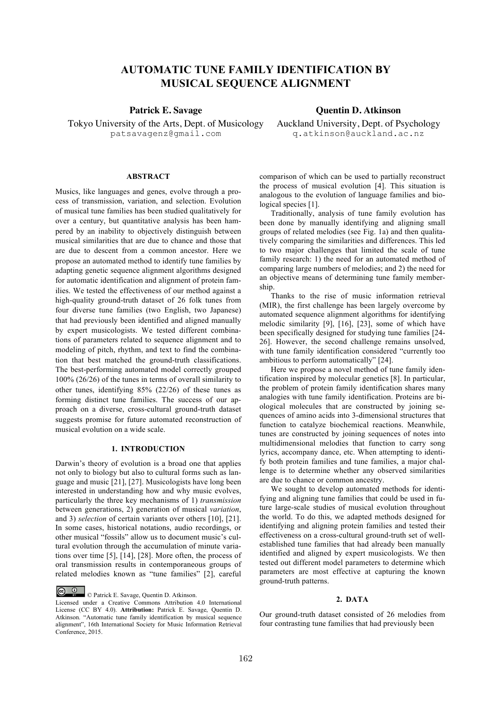# **AUTOMATIC TUNE FAMILY IDENTIFICATION BY MUSICAL SEQUENCE ALIGNMENT**

Tokyo University of the Arts, Dept. of Musicology patsavagenz@gmail.com

**Patrick E. Savage Constraints Ouentin D. Atkinson** 

Auckland University, Dept. of Psychology q.atkinson@auckland.ac.nz

#### **ABSTRACT**

Musics, like languages and genes, evolve through a process of transmission, variation, and selection. Evolution of musical tune families has been studied qualitatively for over a century, but quantitative analysis has been hampered by an inability to objectively distinguish between musical similarities that are due to chance and those that are due to descent from a common ancestor. Here we propose an automated method to identify tune families by adapting genetic sequence alignment algorithms designed for automatic identification and alignment of protein families. We tested the effectiveness of our method against a high-quality ground-truth dataset of 26 folk tunes from four diverse tune families (two English, two Japanese) that had previously been identified and aligned manually by expert musicologists. We tested different combinations of parameters related to sequence alignment and to modeling of pitch, rhythm, and text to find the combination that best matched the ground-truth classifications. The best-performing automated model correctly grouped 100% (26/26) of the tunes in terms of overall similarity to other tunes, identifying 85% (22/26) of these tunes as forming distinct tune families. The success of our approach on a diverse, cross-cultural ground-truth dataset suggests promise for future automated reconstruction of musical evolution on a wide scale.

# **1. INTRODUCTION**

Darwin's theory of evolution is a broad one that applies not only to biology but also to cultural forms such as language and music [21], [27]. Musicologists have long been interested in understanding how and why music evolves, particularly the three key mechanisms of 1) *transmission* between generations, 2) generation of musical *variation*, and 3) *selection* of certain variants over others [10], [21]. In some cases, historical notations, audio recordings, or other musical "fossils" allow us to document music's cultural evolution through the accumulation of minute variations over time [5], [14], [28]. More often, the process of oral transmission results in contemporaneous groups of related melodies known as "tune families" [2], careful

© Patrick E. Savage, Quentin D. Atkinson.

comparison of which can be used to partially reconstruct the process of musical evolution [4]. This situation is analogous to the evolution of language families and biological species [1].

Traditionally, analysis of tune family evolution has been done by manually identifying and aligning small groups of related melodies (see Fig. 1a) and then qualitatively comparing the similarities and differences. This led to two major challenges that limited the scale of tune family research: 1) the need for an automated method of comparing large numbers of melodies; and 2) the need for an objective means of determining tune family membership.

Thanks to the rise of music information retrieval (MIR), the first challenge has been largely overcome by automated sequence alignment algorithms for identifying melodic similarity [9], [16], [23], some of which have been specifically designed for studying tune families [24- 26]. However, the second challenge remains unsolved, with tune family identification considered "currently too ambitious to perform automatically" [24].

Here we propose a novel method of tune family identification inspired by molecular genetics [8]. In particular, the problem of protein family identification shares many analogies with tune family identification. Proteins are biological molecules that are constructed by joining sequences of amino acids into 3-dimensional structures that function to catalyze biochemical reactions. Meanwhile, tunes are constructed by joining sequences of notes into multidimensional melodies that function to carry song lyrics, accompany dance, etc. When attempting to identify both protein families and tune families, a major challenge is to determine whether any observed similarities are due to chance or common ancestry.

We sought to develop automated methods for identifying and aligning tune families that could be used in future large-scale studies of musical evolution throughout the world. To do this, we adapted methods designed for identifying and aligning protein families and tested their effectiveness on a cross-cultural ground-truth set of wellestablished tune families that had already been manually identified and aligned by expert musicologists. We then tested out different model parameters to determine which parameters are most effective at capturing the known ground-truth patterns.

## **2. DATA**

Our ground-truth dataset consisted of 26 melodies from four contrasting tune families that had previously been

Licensed under a Creative Commons Attribution 4.0 International License (CC BY 4.0). **Attribution:** Patrick E. Savage, Quentin D. Atkinson. "Automatic tune family identification by musical sequence alignment", 16th International Society for Music Information Retrieval Conference, 2015.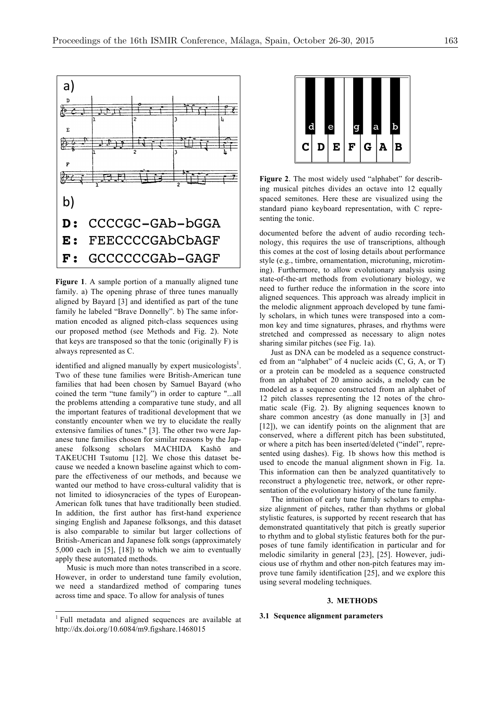

family. a) The opening phrase of three tunes manually aligned to further reduce the information in aligned sequences. This approach was already aligned by Bayard [3] and identified as part of the tune family he labeled "Brave Donnelly". b) The same infor-<br>
the melodic alignment approach develope mation encoded as aligned pitch-class sequences using our proposed method (see Methods and Fig. 2). Note that keys are transposed so that the tonic (originally F) is sharing similar pitches (see Fig. 1a). always represented as C.

identified and aligned manually by expert musicologists<sup>1</sup>. Two of these tune families were British-American tune families that had been chosen by Samuel Bayard (who coined the term "tune family") in order to capture "...all the problems attending a comparative tune study, and all <sup>12</sup> pictor and the Seasons of the Seasons of the Seasons of the Seasons of the Seasons of the Seasons of the Seasons of the Seasons of the Seasons of the Seasons of the important features of traditional development that we constantly encounter when we try to elucidate the really share common ancesus (as done many<br>[12]), we can identify points on the ali extensive families of tunes." [3]. The other two were Jap-<br>
conserved, where a different pitch has beginning to the two very conserved, where a different pitch has beginning anese tune families chosen for similar reasons by the Japanese folksong scholars MACHIDA Kashō and TAKEUCHI Tsutomu [12]. We chose this dataset because we needed a known baseline against which to compare the effectiveness of our methods, and because we wanted our method to have cross-cultural validity that is not limited to idiosyncracies of the types of European-American folk tunes that have traditionally been studied. In addition, the first author has first-hand experience singing English and Japanese folksongs, and this dataset is also comparable to similar but larger collections of British-American and Japanese folk songs (approximately 5,000 each in [5], [18]) to which we aim to eventually apply these automated methods.

 $M$ usic is much more than notes transcribed in a score.  $\frac{1}{2}$  is  $\frac{1}{2}$  cious use However, in order to understand tune family evolution, we need a standardized method of comparing tunes across time and space. To allow for analysis of tunes



**Figure 2**. The most widely used "alphabet" for describing musical pitches divides an octave into 12 equally spaced semitones. Here these are visualized using the spaced using the shows a not unusual case of the **C** standard piano keyboard representation, with C representing the tonic.

**Figure 1**. A sample portion of a manually aligned tune state-of-the-art methods from evolutionar nology, this requires the use of transcriptions, although this comes at the cost of losing details about performance style (e.g., timbre, ornamentation, microtuning, microtimstate-of-the-art methods from evolutionary biology, we need to further reduce the information in the score into aligned sequences. This approach was already implicit in the melodic alignment approach developed by tune family scholars, in which tunes were transposed into a common key and time signatures, phrases, and rhythms were posed method (see Methods and Fig. 2). Note stretched and compressed as necessary to align notes sharing similar pitches (see Fig. 1a).

Ways represented as C. **domains a sequence construct-** Just as DNA can be modeled as a sequence construct- $\epsilon$  ed from an "alphabet" of 4 nucleic acids  $(C, G, A,$  or T) entified and anglied manually by expert musicologists.<br>We of these time families were British-American tune or a protein can be modeled as a sequence constructed wo of these tune families were **Diffused** From the street from an alphabet of 20 amino acids, a melody can be milios that had been aboson by Samuel Bayard (who modeled as a sequence constructed from an alphabet of the air is extensively in order to construct a modeled as a sequence constructed from an alphabet of  $\frac{12 \text{ prime}}{2 \text{ prime}}$  attending-governmenting the classes  $\frac{12 \text{ prime}}{2 \text{ prime}}$  and  $\frac{11}{2 \text{ prime}}$  12 pitch classes representing the 12 notes of the chromatic scale (Fig. 2). By aligning sequences known to ortant features of traditional development that we share common ancestry (as done manually in [3] and share common accestry (as done manually in [3] and [12]), we can identify points on the alignment that are conserved, where a different pitch has been substituted, or where a pitch has been inserted/deleted ("indel", represented using dashes). Fig. 1b shows how this method is used to encode the manual alignment shown in Fig. 1a. This information can then be analyzed quantitatively to reconstruct a phylogenetic tree, network, or other representation of the evolutionary history of the tune family.

> The intuition of early tune family scholars to emphasize alignment of pitches, rather than rhythms or global stylistic features, is supported by recent research that has demonstrated quantitatively that pitch is greatly superior to rhythm and to global stylistic features both for the purposes of tune family identification in particular and for  $\frac{1}{2}$ , [10]) to which we all to eventually melodic similarity in general [23], [25]. However, judicious use of rhythm and other non-pitch features may improve tune family identification [25], and we explore this using several modeling techniques.

### **3. METHODS**

## **3.1 Sequence alignment parameters**

<sup>&</sup>lt;sup>1</sup> Full metadata and aligned sequences are available at http://dx.doi.org/10.6084/m9.figshare.1468015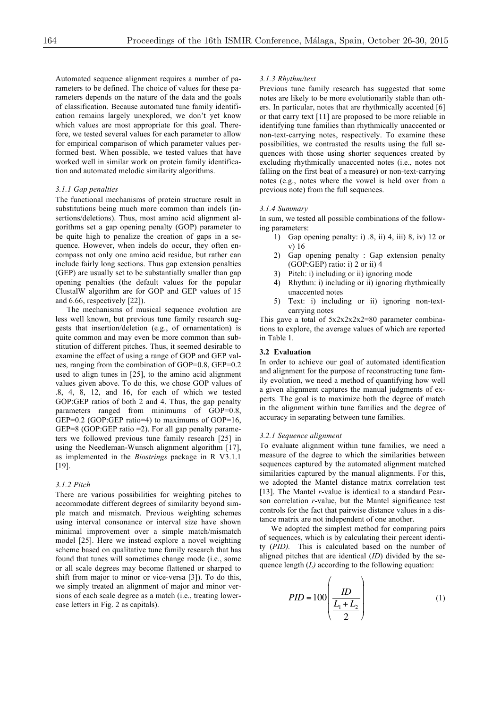Automated sequence alignment requires a number of parameters to be defined. The choice of values for these parameters depends on the nature of the data and the goals of classification. Because automated tune family identification remains largely unexplored, we don't yet know which values are most appropriate for this goal. Therefore, we tested several values for each parameter to allow for empirical comparison of which parameter values performed best. When possible, we tested values that have worked well in similar work on protein family identification and automated melodic similarity algorithms.

#### *3.1.1 Gap penalties*

The functional mechanisms of protein structure result in substitutions being much more common than indels (insertions/deletions). Thus, most amino acid alignment algorithms set a gap opening penalty (GOP) parameter to be quite high to penalize the creation of gaps in a sequence. However, when indels do occur, they often encompass not only one amino acid residue, but rather can include fairly long sections. Thus gap extension penalties (GEP) are usually set to be substantially smaller than gap opening penalties (the default values for the popular ClustalW algorithm are for GOP and GEP values of 15 and 6.66, respectively [22]).

The mechanisms of musical sequence evolution are less well known, but previous tune family research suggests that insertion/deletion (e.g., of ornamentation) is quite common and may even be more common than substitution of different pitches. Thus, it seemed desirable to examine the effect of using a range of GOP and GEP values, ranging from the combination of GOP=0.8, GEP=0.2 used to align tunes in [25], to the amino acid alignment values given above. To do this, we chose GOP values of .8, 4, 8, 12, and 16, for each of which we tested GOP:GEP ratios of both 2 and 4. Thus, the gap penalty parameters ranged from minimums of GOP=0.8, GEP=0.2 (GOP:GEP ratio=4) to maximums of GOP=16, GEP=8 (GOP:GEP ratio =2). For all gap penalty parameters we followed previous tune family research [25] in using the Needleman-Wunsch alignment algorithm [17], as implemented in the *Biostrings* package in R V3.1.1 [19].

## *3.1.2 Pitch*

There are various possibilities for weighting pitches to accommodate different degrees of similarity beyond simple match and mismatch. Previous weighting schemes using interval consonance or interval size have shown minimal improvement over a simple match/mismatch model [25]. Here we instead explore a novel weighting scheme based on qualitative tune family research that has found that tunes will sometimes change mode (i.e., some or all scale degrees may become flattened or sharped to shift from major to minor or vice-versa [3]). To do this, we simply treated an alignment of major and minor versions of each scale degree as a match (i.e., treating lowercase letters in Fig. 2 as capitals).

#### *3.1.3 Rhythm/text*

Previous tune family research has suggested that some notes are likely to be more evolutionarily stable than others. In particular, notes that are rhythmically accented [6] or that carry text [11] are proposed to be more reliable in identifying tune families than rhythmically unaccented or non-text-carrying notes, respectively. To examine these possibilities, we contrasted the results using the full sequences with those using shorter sequences created by excluding rhythmically unaccented notes (i.e., notes not falling on the first beat of a measure) or non-text-carrying notes (e.g., notes where the vowel is held over from a previous note) from the full sequences.

#### *3.1.4 Summary*

In sum, we tested all possible combinations of the following parameters:

- 1) Gap opening penalty: i) .8, ii) 4, iii) 8, iv) 12 or v) 16
- 2) Gap opening penalty : Gap extension penalty (GOP:GEP) ratio: i) 2 or ii) 4
- 3) Pitch: i) including or ii) ignoring mode
- 4) Rhythm: i) including or ii) ignoring rhythmically unaccented notes
- 5) Text: i) including or ii) ignoring non-textcarrying notes

This gave a total of  $5x2x2x2z2=80$  parameter combinations to explore, the average values of which are reported in Table 1.

## **3.2 Evaluation**

In order to achieve our goal of automated identification and alignment for the purpose of reconstructing tune family evolution, we need a method of quantifying how well a given alignment captures the manual judgments of experts. The goal is to maximize both the degree of match in the alignment within tune families and the degree of accuracy in separating between tune families.

#### *3.2.1 Sequence alignment*

To evaluate alignment within tune families, we need a measure of the degree to which the similarities between sequences captured by the automated alignment matched similarities captured by the manual alignments. For this, we adopted the Mantel distance matrix correlation test [13]. The Mantel *r*-value is identical to a standard Pearson correlation *r*-value, but the Mantel significance test controls for the fact that pairwise distance values in a distance matrix are not independent of one another.

We adopted the simplest method for comparing pairs of sequences, which is by calculating their percent identity (*PID).* This is calculated based on the number of aligned pitches that are identical (*ID*) divided by the sequence length (*L*) according to the following equation:

$$
PID = 100 \left( \frac{ID}{\frac{L_1 + L_2}{2}} \right) \tag{1}
$$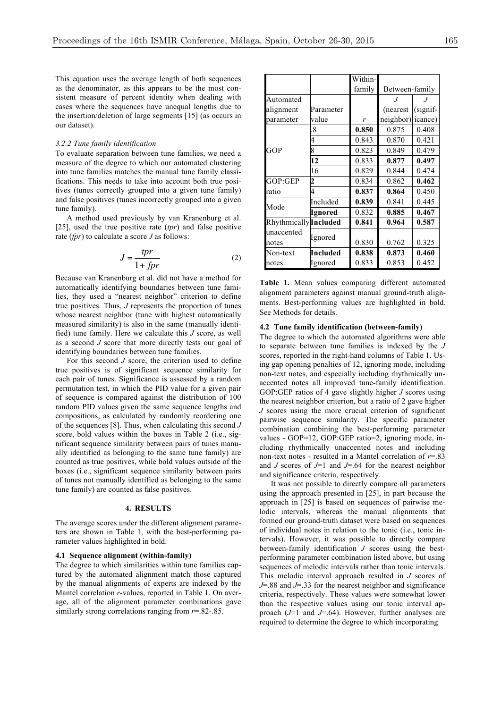This equation uses the average length of both sequences as the denominator, as this appears to be the most consistent measure of percent identity when dealing with cases where the sequences have unequal lengths due to the insertion/deletion of large segments [15] (as occurs in our dataset).

## *3.2.2 Tune family identification*

To evaluate separation between tune families, we need a measure of the degree to which our automated clustering into tune families matches the manual tune family classifications. This needs to take into account both true positives (tunes correctly grouped into a given tune family) and false positives (tunes incorrectly grouped into a given tune family).

A method used previously by van Kranenburg et al. [25], used the true positive rate (*tpr*) and false positive rate (*fpr*) to calculate a score *J* as follows:

$$
J = \frac{tpr}{1 + fpr} \tag{2}
$$

Because van Kranenburg et al. did not have a method for automatically identifying boundaries between tune families, they used a "nearest neighbor" criterion to define true positives. Thus, *J* represents the proportion of tunes whose nearest neighbor (tune with highest automatically measured similarity) is also in the same (manually identified) tune family. Here we calculate this *J* score, as well as a second *J* score that more directly tests our goal of identifying boundaries between tune families.

For this second *J* score, the criterion used to define true positives is of significant sequence similarity for each pair of tunes. Significance is assessed by a random permutation test, in which the PID value for a given pair of sequence is compared against the distribution of 100 random PID values given the same sequence lengths and compositions, as calculated by randomly reordering one of the sequences [8]. Thus, when calculating this second *J* score, bold values within the boxes in Table 2 (i.e., significant sequence similarity between pairs of tunes manually identified as belonging to the same tune family) are counted as true positives, while bold values outside of the boxes (i.e., significant sequence similarity between pairs of tunes not manually identified as belonging to the same tune family) are counted as false positives.

### **4. RESULTS**

The average scores under the different alignment parameters are shown in Table 1, with the best-performing parameter values highlighted in bold.

## **4.1 Sequence alignment (within-family)**

The degree to which similarities within tune families captured by the automated alignment match those captured by the manual alignments of experts are indexed by the Mantel correlation *r*-values, reported in Table 1. On average, all of the alignment parameter combinations gave similarly strong correlations ranging from *r*=.82-.85.

|                       |           | Within- |                |             |  |  |  |  |  |
|-----------------------|-----------|---------|----------------|-------------|--|--|--|--|--|
|                       |           | family  | Between-family |             |  |  |  |  |  |
| Automated             |           |         |                |             |  |  |  |  |  |
| alignment             | Parameter |         | (nearest)      | $(signif-)$ |  |  |  |  |  |
| parameter             | value     | r       | neighbor)      | icance)     |  |  |  |  |  |
|                       | 8         | 0.850   | 0.875          | 0.408       |  |  |  |  |  |
|                       |           | 0.843   | 0.870          | 0.421       |  |  |  |  |  |
| GOP                   | ጳ         | 0.823   | 0.849          | 0.479       |  |  |  |  |  |
|                       | 12        | 0.833   | 0.877          | 0.497       |  |  |  |  |  |
|                       | 16        | 0.829   | 0.844          | 0.474       |  |  |  |  |  |
| GOP:GEP               |           | 0.834   | 0.862          | 0.462       |  |  |  |  |  |
| ratio                 |           | 0.837   | 0.864          | 0.450       |  |  |  |  |  |
| Mode                  | Included  | 0.839   | 0.841          | 0.445       |  |  |  |  |  |
|                       | Ignored   | 0.832   | 0.885          | 0.467       |  |  |  |  |  |
| Rhythmically Included |           | 0.841   | 0.964          | 0.587       |  |  |  |  |  |
| unaccented            |           |         |                |             |  |  |  |  |  |
| notes                 | Ignored   | 0.830   | 0.762          | 0.325       |  |  |  |  |  |
| Non-text              | Included  | 0.838   | 0.873          | 0.460       |  |  |  |  |  |
| notes                 | Ignored   | 0.833   | 0.853          | 0.452       |  |  |  |  |  |

**Table 1.** Mean values comparing different automated alignment parameters against manual ground-truth alignments. Best-performing values are highlighted in bold. See Methods for details.

#### **4.2 Tune family identification (between-family)**

The degree to which the automated algorithms were able to separate between tune families is indexed by the *J* scores, reported in the right-hand columns of Table 1. Using gap opening penalties of 12, ignoring mode, including non-text notes, and especially including rhythmically unaccented notes all improved tune-family identification. GOP:GEP ratios of 4 gave slightly higher *J* scores using the nearest neighbor criterion, but a ratio of 2 gave higher *J* scores using the more crucial criterion of significant pairwise sequence similarity. The specific parameter combination combining the best-performing parameter values - GOP=12, GOP:GEP ratio=2, ignoring mode, including rhythmically unaccented notes and including non-text notes - resulted in a Mantel correlation of *r*=.83 and *J* scores of *J*=1 and *J*=.64 for the nearest neighbor and significance criteria, respectively.

It was not possible to directly compare all parameters using the approach presented in [25], in part because the approach in [25] is based on sequences of pairwise melodic intervals, whereas the manual alignments that formed our ground-truth dataset were based on sequences of individual notes in relation to the tonic (i.e., tonic intervals). However, it was possible to directly compare between-family identification *J* scores using the bestperforming parameter combination listed above, but using sequences of melodic intervals rather than tonic intervals. This melodic interval approach resulted in *J* scores of *J*=.88 and *J*=.33 for the nearest neighbor and significance criteria, respectively. These values were somewhat lower than the respective values using our tonic interval approach (*J*=1 and *J*=.64). However, further analyses are required to determine the degree to which incorporating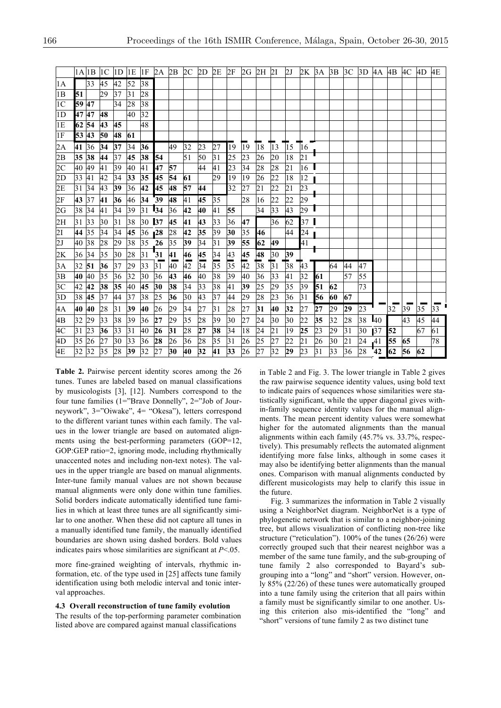|                 |       |    |    |                 |    |                 |                 |        |                 |                 |                 |                 |                 |                 |                 |                 | 1 A  1 B  1 C  1 D  1 E  1 F  2 A  2 B  2 C  2 D  2 E  2 F  2 G  2 H  2 I  2 K  3 A  3 B  3 C |    |    |                 |    | 3D 4A 4B 4C     |    |    | 4D | 4E |
|-----------------|-------|----|----|-----------------|----|-----------------|-----------------|--------|-----------------|-----------------|-----------------|-----------------|-----------------|-----------------|-----------------|-----------------|-----------------------------------------------------------------------------------------------|----|----|-----------------|----|-----------------|----|----|----|----|
| 1A              |       | 33 | 45 | 42              | 52 | 38              |                 |        |                 |                 |                 |                 |                 |                 |                 |                 |                                                                                               |    |    |                 |    |                 |    |    |    |    |
| 1B              | 51    |    | 29 | 37              | 31 | 28              |                 |        |                 |                 |                 |                 |                 |                 |                 |                 |                                                                                               |    |    |                 |    |                 |    |    |    |    |
| 1 <sup>C</sup>  | 59 47 |    |    | 34              | 28 | 38              |                 |        |                 |                 |                 |                 |                 |                 |                 |                 |                                                                                               |    |    |                 |    |                 |    |    |    |    |
| 1D              | 47 47 |    | 48 |                 | 40 | 32              |                 |        |                 |                 |                 |                 |                 |                 |                 |                 |                                                                                               |    |    |                 |    |                 |    |    |    |    |
| 1E              | 62 54 |    | 43 | 45              |    | 48              |                 |        |                 |                 |                 |                 |                 |                 |                 |                 |                                                                                               |    |    |                 |    |                 |    |    |    |    |
| 1F              | 53 43 |    | 50 | 48              | 61 |                 |                 |        |                 |                 |                 |                 |                 |                 |                 |                 |                                                                                               |    |    |                 |    |                 |    |    |    |    |
| $\frac{2A}{2B}$ | 41 36 |    | 34 | 37              | 34 | 36              |                 | 49     | 32              | 23              | 27              | 19              | 19              | 18              | $\overline{13}$ | $\overline{15}$ | 16                                                                                            |    |    |                 |    |                 |    |    |    |    |
|                 | 35 38 |    | 44 | 37              | 45 | 38              | 54              |        | 51              | 50              | 31              | 25              | 23              | 26              | 20              | 18              | $\overline{21}$                                                                               |    |    |                 |    |                 |    |    |    |    |
| 2C              | 40 49 |    | 41 | 39              | 40 | 41              | 47              | 57     |                 | 44              | 41              | 23              | 34              | 28              | 28              | 21              | 16                                                                                            |    |    |                 |    |                 |    |    |    |    |
|                 | 33 41 |    | 42 | 34              | 33 | 35              | 45              | 54     | 61              |                 | 29              | 19              | 19              | 26              | 22              | 18              | 12                                                                                            |    |    |                 |    |                 |    |    |    |    |
| $\frac{2D}{2E}$ | 31 34 |    | 43 | 39              | 36 | 42              | 45              | 48     | 57              | 44              |                 | 32              | 27              | 21              | 22              | 21              | 23                                                                                            |    |    |                 |    |                 |    |    |    |    |
| 2F              | 43 37 |    | 41 | 36              | 46 | 34 39           |                 | 48     | 41              | 45              | 35              |                 | 28              | 16              | 22              | 22              | 29                                                                                            |    |    |                 |    |                 |    |    |    |    |
| 2G              | 38 34 |    | 41 | $\overline{34}$ | 39 | $\overline{31}$ | $\overline{34}$ | 36     | $\overline{42}$ | 40              | 41              | 55              |                 | $\overline{34}$ | $\overline{33}$ | 43              | 29                                                                                            |    |    |                 |    |                 |    |    |    |    |
| 2H              | 31 33 |    | 30 | 31              | 38 | 30              | 37              | 45     | 41              | 43              | 33              | 36              | 47              |                 | 36              | 62              | 37                                                                                            |    |    |                 |    |                 |    |    |    |    |
| $\frac{2I}{2J}$ | 44 35 |    | 34 | 34              | 45 | 36              | 128             | 28     | 42              | 35              | 39              | 30              | 35              | 46              |                 | 44              | 24                                                                                            |    |    |                 |    |                 |    |    |    |    |
|                 | 40 38 |    | 28 | 29              | 38 | 35 26           |                 | 35     | 39              | 34              | 31              | 39              | 55              | 62              | 49              |                 | 41                                                                                            |    |    |                 |    |                 |    |    |    |    |
|                 | 36 34 |    | 35 | 30              | 28 | 31              | $\overline{31}$ | 41     | 46              | 45              | 34              | 43              | 45              | 48              | 30              | 39              |                                                                                               |    |    |                 |    |                 |    |    |    |    |
| $\frac{2K}{3A}$ | 32 51 |    | 36 | 37              | 29 | 33              | 31              | $40\,$ | $\overline{42}$ | $\overline{34}$ | $\overline{35}$ | 35              | $\overline{42}$ | 38              | $\overline{31}$ | $\overline{38}$ | $\overline{43}$                                                                               |    | 64 | 44              | 47 |                 |    |    |    |    |
| 3B              | 40 40 |    | 35 | 36              | 32 | 30              | 36              | 43     | 46              | 40              | 38              | 39              | 40              | 36              | 33              | 41              | 32                                                                                            | 61 |    | 57              | 55 |                 |    |    |    |    |
|                 | 42 42 |    | 38 | 35              | 40 | 45              | 30              | 38     | 34              | 33              | 38              | $\overline{41}$ | 39              | 25              | 29              | 35              | 39                                                                                            | 51 | 62 |                 | 73 |                 |    |    |    |    |
| $\frac{3C}{3D}$ | 38 45 |    | 37 | 44              | 37 | 38              | 25              | 36     | 30              | 43              | 37              | 44              | 29              | 28              | 23              | 36              | 31                                                                                            | 56 | 60 | 67              |    |                 |    |    |    |    |
| $\frac{4A}{4B}$ | 40 40 |    | 28 | 31              | 39 | 40              | 26              | 29     | 34              | 27              | 31              | 28              | 27              | 31              | 40              | 32              | 27                                                                                            | 27 | 29 | 29              | 23 |                 | 32 | 39 | 35 | 33 |
|                 | 32 29 |    | 33 | 38              | 39 | 36              | 27              | 29     | 35              | 28              | 39              | 30              | 27              | 24              | 30              | 30              | 22                                                                                            | 35 | 32 | 28              | 38 | 40              |    | 43 | 45 | 44 |
| 4 <sup>C</sup>  | 31    | 23 | 36 | 33              | 31 | 40              | 26              | 31     | 28              | 27              | 38              | 34              | 18              | 24              | 21              | 19              | 25                                                                                            | 23 | 29 | $\overline{31}$ | 30 | 37              | 52 |    | 67 | 61 |
| 4D              | 35    | 26 | 27 | 30              | 33 | 36              | 28              | 26     | 36              | 28              | 35              | 31              | 26              | 25              | 27              | 22              | 21                                                                                            | 26 | 30 | 21              | 24 | 41              | 55 | 65 |    | 78 |
| $\overline{4E}$ | 32 32 |    | 35 | 28              | 39 | 32              | 27              | 30     | 40              | 32              | 41              | 33              | 26              | 27              | 32              | 29              | 23                                                                                            | 31 | 33 | 36              | 28 | $\overline{42}$ | 62 | 56 | 62 |    |

**Table 2.** Pairwise percent identity scores among the 26 tunes. Tunes are labeled based on manual classifications by musicologists [3], [12]. Numbers correspond to the four tune families (1="Brave Donnelly", 2="Job of Journeywork", 3="Oiwake", 4= "Okesa"), letters correspond to the different variant tunes within each family. The values in the lower triangle are based on automated alignments using the best-performing parameters (GOP=12, GOP:GEP ratio=2, ignoring mode, including rhythmically unaccented notes and including non-text notes). The values in the upper triangle are based on manual alignments. Inter-tune family manual values are not shown because manual alignments were only done within tune families. Solid borders indicate automatically identified tune families in which at least three tunes are all significantly similar to one another. When these did not capture all tunes in a manually identified tune family, the manually identified boundaries are shown using dashed borders. Bold values indicates pairs whose similarities are significant at *P*<.05.

more fine-grained weighting of intervals, rhythmic information, etc. of the type used in [25] affects tune family identification using both melodic interval and tonic interval approaches.

## **4.3 Overall reconstruction of tune family evolution**

The results of the top-performing parameter combination listed above are compared against manual classifications

in Table 2 and Fig. 3. The lower triangle in Table 2 gives the raw pairwise sequence identity values, using bold text to indicate pairs of sequences whose similarities were statistically significant, while the upper diagonal gives within-family sequence identity values for the manual alignments. The mean percent identity values were somewhat higher for the automated alignments than the manual alignments within each family (45.7% vs. 33.7%, respectively). This presumably reflects the automated alignment identifying more false links, although in some cases it may also be identifying better alignments than the manual ones. Comparison with manual alignments conducted by different musicologists may help to clarify this issue in the future.

Fig. 3 summarizes the information in Table 2 visually using a NeighborNet diagram. NeighborNet is a type of phylogenetic network that is similar to a neighbor-joining tree, but allows visualization of conflicting non-tree like structure ("reticulation"). 100% of the tunes (26/26) were correctly grouped such that their nearest neighbor was a member of the same tune family, and the sub-grouping of tune family 2 also corresponded to Bayard's subgrouping into a "long" and "short" version. However, only 85% (22/26) of these tunes were automatically grouped into a tune family using the criterion that all pairs within a family must be significantly similar to one another. Using this criterion also mis-identified the "long" and "short" versions of tune family 2 as two distinct tune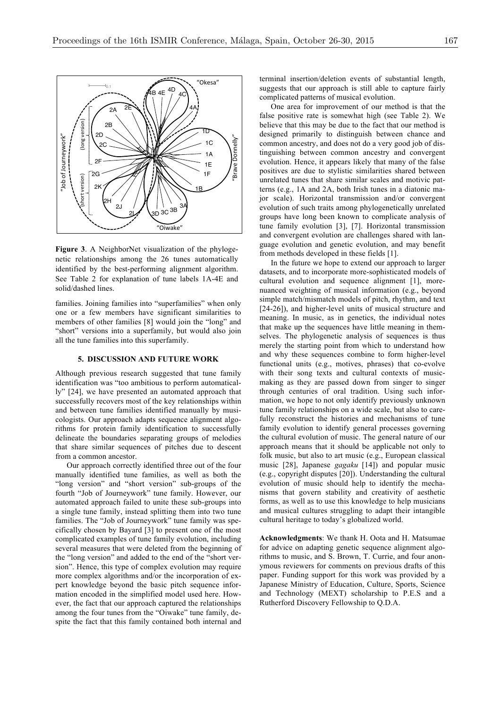

**Figure 3**. A NeighborNet visualization of the phylogenetic relationships among the 26 tunes automatically identified by the best-performing alignment algorithm. See Table 2 for explanation of tune labels 1A-4E and solid/dashed lines.

families. Joining families into "superfamilies" when only one or a few members have significant similarities to members of other families [8] would join the "long" and "short" versions into a superfamily, but would also join all the tune families into this superfamily.

#### **5. DISCUSSION AND FUTURE WORK**

Although previous research suggested that tune family identification was "too ambitious to perform automatically" [24], we have presented an automated approach that successfully recovers most of the key relationships within and between tune families identified manually by musicologists. Our approach adapts sequence alignment algorithms for protein family identification to successfully delineate the boundaries separating groups of melodies that share similar sequences of pitches due to descent from a common ancestor.

Our approach correctly identified three out of the four manually identified tune families, as well as both the "long version" and "short version" sub-groups of the fourth "Job of Journeywork" tune family. However, our automated approach failed to unite these sub-groups into a single tune family, instead splitting them into two tune families. The "Job of Journeywork" tune family was specifically chosen by Bayard [3] to present one of the most complicated examples of tune family evolution, including several measures that were deleted from the beginning of the "long version" and added to the end of the "short version". Hence, this type of complex evolution may require more complex algorithms and/or the incorporation of expert knowledge beyond the basic pitch sequence information encoded in the simplified model used here. However, the fact that our approach captured the relationships among the four tunes from the "Oiwake" tune family, despite the fact that this family contained both internal and terminal insertion/deletion events of substantial length, suggests that our approach is still able to capture fairly complicated patterns of musical evolution.

One area for improvement of our method is that the false positive rate is somewhat high (see Table 2). We believe that this may be due to the fact that our method is designed primarily to distinguish between chance and common ancestry, and does not do a very good job of distinguishing between common ancestry and convergent evolution. Hence, it appears likely that many of the false positives are due to stylistic similarities shared between unrelated tunes that share similar scales and motivic patterns (e.g., 1A and 2A, both Irish tunes in a diatonic major scale). Horizontal transmission and/or convergent evolution of such traits among phylogenetically unrelated groups have long been known to complicate analysis of tune family evolution [3], [7]. Horizontal transmission and convergent evolution are challenges shared with language evolution and genetic evolution, and may benefit from methods developed in these fields [1].

In the future we hope to extend our approach to larger datasets, and to incorporate more-sophisticated models of cultural evolution and sequence alignment [1], morenuanced weighting of musical information (e.g., beyond simple match/mismatch models of pitch, rhythm, and text [24-26]), and higher-level units of musical structure and meaning. In music, as in genetics, the individual notes that make up the sequences have little meaning in themselves. The phylogenetic analysis of sequences is thus merely the starting point from which to understand how and why these sequences combine to form higher-level functional units (e.g., motives, phrases) that co-evolve with their song texts and cultural contexts of musicmaking as they are passed down from singer to singer through centuries of oral tradition. Using such information, we hope to not only identify previously unknown tune family relationships on a wide scale, but also to carefully reconstruct the histories and mechanisms of tune family evolution to identify general processes governing the cultural evolution of music. The general nature of our approach means that it should be applicable not only to folk music, but also to art music (e.g., European classical music [28], Japanese *gagaku* [14]) and popular music (e.g., copyright disputes [20]). Understanding the cultural evolution of music should help to identify the mechanisms that govern stability and creativity of aesthetic forms, as well as to use this knowledge to help musicians and musical cultures struggling to adapt their intangible cultural heritage to today's globalized world.

**Acknowledgments**: We thank H. Oota and H. Matsumae for advice on adapting genetic sequence alignment algorithms to music, and S. Brown, T. Currie, and four anonymous reviewers for comments on previous drafts of this paper. Funding support for this work was provided by a Japanese Ministry of Education, Culture, Sports, Science and Technology (MEXT) scholarship to P.E.S and a Rutherford Discovery Fellowship to Q.D.A.